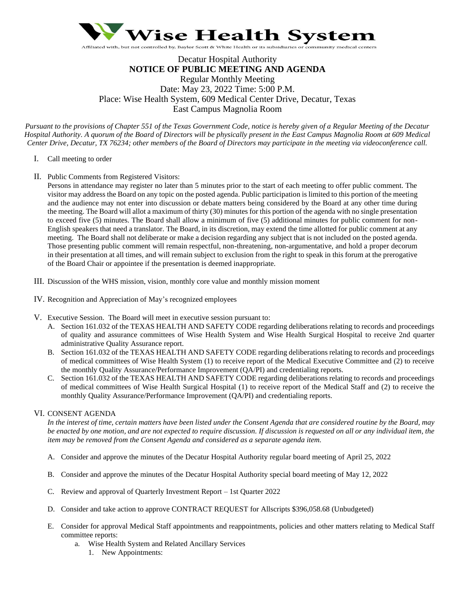

# Decatur Hospital Authority **NOTICE OF PUBLIC MEETING AND AGENDA** Regular Monthly Meeting Date: May 23, 2022 Time: 5:00 P.M. Place: Wise Health System, 609 Medical Center Drive, Decatur, Texas East Campus Magnolia Room

*Pursuant to the provisions of Chapter 551 of the Texas Government Code, notice is hereby given of a Regular Meeting of the Decatur Hospital Authority. A quorum of the Board of Directors will be physically present in the East Campus Magnolia Room at 609 Medical Center Drive, Decatur, TX 76234; other members of the Board of Directors may participate in the meeting via videoconference call.*

- I. Call meeting to order
- II. Public Comments from Registered Visitors:

Persons in attendance may register no later than 5 minutes prior to the start of each meeting to offer public comment. The visitor may address the Board on any topic on the posted agenda. Public participation is limited to this portion of the meeting and the audience may not enter into discussion or debate matters being considered by the Board at any other time during the meeting. The Board will allot a maximum of thirty (30) minutes for this portion of the agenda with no single presentation to exceed five (5) minutes. The Board shall allow a minimum of five (5) additional minutes for public comment for non-English speakers that need a translator. The Board, in its discretion, may extend the time allotted for public comment at any meeting. The Board shall not deliberate or make a decision regarding any subject that is not included on the posted agenda. Those presenting public comment will remain respectful, non-threatening, non-argumentative, and hold a proper decorum in their presentation at all times, and will remain subject to exclusion from the right to speak in this forum at the prerogative of the Board Chair or appointee if the presentation is deemed inappropriate.

- III. Discussion of the WHS mission, vision, monthly core value and monthly mission moment
- IV. Recognition and Appreciation of May's recognized employees
- V. Executive Session. The Board will meet in executive session pursuant to:
	- A. Section 161.032 of the TEXAS HEALTH AND SAFETY CODE regarding deliberations relating to records and proceedings of quality and assurance committees of Wise Health System and Wise Health Surgical Hospital to receive 2nd quarter administrative Quality Assurance report.
	- B. Section 161.032 of the TEXAS HEALTH AND SAFETY CODE regarding deliberations relating to records and proceedings of medical committees of Wise Health System (1) to receive report of the Medical Executive Committee and (2) to receive the monthly Quality Assurance/Performance Improvement (QA/PI) and credentialing reports.
	- C. Section 161.032 of the TEXAS HEALTH AND SAFETY CODE regarding deliberations relating to records and proceedings of medical committees of Wise Health Surgical Hospital (1) to receive report of the Medical Staff and (2) to receive the monthly Quality Assurance/Performance Improvement (QA/PI) and credentialing reports.

### VI. CONSENT AGENDA

*In the interest of time, certain matters have been listed under the Consent Agenda that are considered routine by the Board, may be enacted by one motion, and are not expected to require discussion. If discussion is requested on all or any individual item, the item may be removed from the Consent Agenda and considered as a separate agenda item.* 

- A. Consider and approve the minutes of the Decatur Hospital Authority regular board meeting of April 25, 2022
- B. Consider and approve the minutes of the Decatur Hospital Authority special board meeting of May 12, 2022
- C. Review and approval of Quarterly Investment Report 1st Quarter 2022
- D. Consider and take action to approve CONTRACT REQUEST for Allscripts \$396,058.68 (Unbudgeted)
- E. Consider for approval Medical Staff appointments and reappointments, policies and other matters relating to Medical Staff committee reports:
	- a. Wise Health System and Related Ancillary Services
		- 1. New Appointments: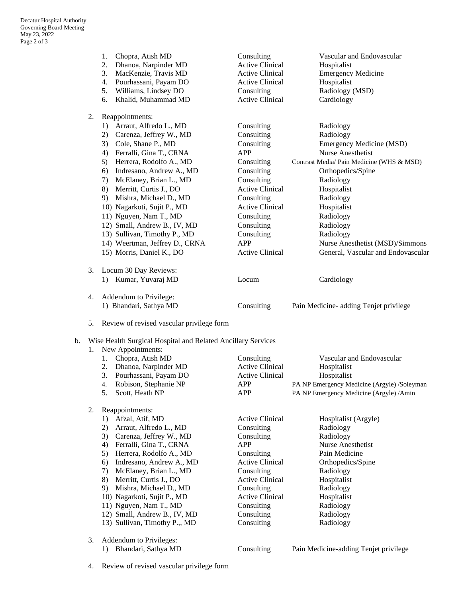|    | Chopra, Atish MD<br>1.<br>2.<br>Dhanoa, Narpinder MD<br>3.<br>MacKenzie, Travis MD<br>Pourhassani, Payam DO<br>4.<br>5.<br>Williams, Lindsey DO<br>Khalid, Muhammad MD<br>6. | Consulting<br><b>Active Clinical</b><br><b>Active Clinical</b><br><b>Active Clinical</b><br>Consulting<br><b>Active Clinical</b> | Vascular and Endovascular<br>Hospitalist<br><b>Emergency Medicine</b><br>Hospitalist<br>Radiology (MSD)<br>Cardiology |
|----|------------------------------------------------------------------------------------------------------------------------------------------------------------------------------|----------------------------------------------------------------------------------------------------------------------------------|-----------------------------------------------------------------------------------------------------------------------|
| 2. | Reappointments:                                                                                                                                                              |                                                                                                                                  |                                                                                                                       |
|    | Arraut, Alfredo L., MD<br>1)                                                                                                                                                 | Consulting                                                                                                                       | Radiology                                                                                                             |
|    | Carenza, Jeffrey W., MD<br>2)                                                                                                                                                | Consulting                                                                                                                       | Radiology                                                                                                             |
|    | 3)<br>Cole, Shane P., MD                                                                                                                                                     | Consulting                                                                                                                       | <b>Emergency Medicine (MSD)</b>                                                                                       |
|    | Ferralli, Gina T., CRNA<br>4)                                                                                                                                                | <b>APP</b>                                                                                                                       | <b>Nurse Anesthetist</b>                                                                                              |
|    | Herrera, Rodolfo A., MD<br>5)                                                                                                                                                | Consulting                                                                                                                       | Contrast Media/ Pain Medicine (WHS & MSD)                                                                             |
|    | Indresano, Andrew A., MD<br>6)                                                                                                                                               | Consulting                                                                                                                       | Orthopedics/Spine                                                                                                     |
|    | McElaney, Brian L., MD<br>7)                                                                                                                                                 | Consulting                                                                                                                       | Radiology                                                                                                             |
|    | 8)<br>Merritt, Curtis J., DO                                                                                                                                                 | <b>Active Clinical</b>                                                                                                           | Hospitalist                                                                                                           |
|    | Mishra, Michael D., MD<br>9)                                                                                                                                                 | Consulting                                                                                                                       | Radiology                                                                                                             |
|    | 10) Nagarkoti, Sujit P., MD                                                                                                                                                  | <b>Active Clinical</b>                                                                                                           | Hospitalist                                                                                                           |
|    | 11) Nguyen, Nam T., MD                                                                                                                                                       | Consulting                                                                                                                       | Radiology                                                                                                             |
|    | 12) Small, Andrew B., IV, MD                                                                                                                                                 | Consulting                                                                                                                       | Radiology                                                                                                             |
|    | 13) Sullivan, Timothy P., MD                                                                                                                                                 | Consulting                                                                                                                       | Radiology                                                                                                             |
|    | 14) Weertman, Jeffrey D., CRNA                                                                                                                                               | APP                                                                                                                              | Nurse Anesthetist (MSD)/Simmons                                                                                       |
|    | 15) Morris, Daniel K., DO                                                                                                                                                    | <b>Active Clinical</b>                                                                                                           | General, Vascular and Endovascular                                                                                    |
| 3. | Locum 30 Day Reviews:                                                                                                                                                        |                                                                                                                                  |                                                                                                                       |
|    | Kumar, Yuvaraj MD<br>1)                                                                                                                                                      | Locum                                                                                                                            | Cardiology                                                                                                            |
| 4. | Addendum to Privilege:                                                                                                                                                       |                                                                                                                                  |                                                                                                                       |
|    | 1) Bhandari, Sathya MD                                                                                                                                                       | Consulting                                                                                                                       | Pain Medicine- adding Tenjet privilege                                                                                |

5. Review of revised vascular privilege form

### b. Wise Health Surgical Hospital and Related Ancillary Services

# 1. New Appointments: 1. Chopra, Atish MD Consulting Vascular and Endovascular 2. Dhanoa, Narpinder MD Active Clinical Hospitalist 3. Pourhassani, Payam DO Active Clinical Hospitalist 4. Robison, Stephanie NP APP PA NP Emergency Medicine (Argyle) /Soleyman 5. Scott, Heath NP APP PA NP Emergency Medicine (Argyle) /Amin

## 2. Reappointments:

- 1) Afzal, Atif, MD Active Clinical Hospitalist (Argyle)
- 2) Arraut, Alfredo L., MD Consulting Radiology<br>
3) Carenza, Jeffrey W., MD Consulting Radiology
- 3) Carenza, Jeffrey W., MD Consulting
- 4) Ferralli, Gina T., CRNA APP Nurse Anesthetist
- 5) Herrera, Rodolfo A., MD Consulting Pain Medicine
- 6) Indresano, Andrew A., MD Active Clinical Orthopedics/Spine
- 7) McElaney, Brian L., MD Consulting Radiology
- 8) Merritt, Curtis J., DO Active Clinical Hospitalist
- 9) Mishra, Michael D., MD Consulting Radiology
- 10) Nagarkoti, Sujit P., MD Active Clinical Hospitalist
- 11) Nguyen, Nam T., MD Consulting Radiology
- 12) Small, Andrew B., IV, MD Consulting Radiology 13) Sullivan, Timothy P.,, MD Consulting Radiology
- 3. Addendum to Privileges:

1) Bhandari, Sathya MD Consulting Pain Medicine-adding Tenjet privilege

4. Review of revised vascular privilege form